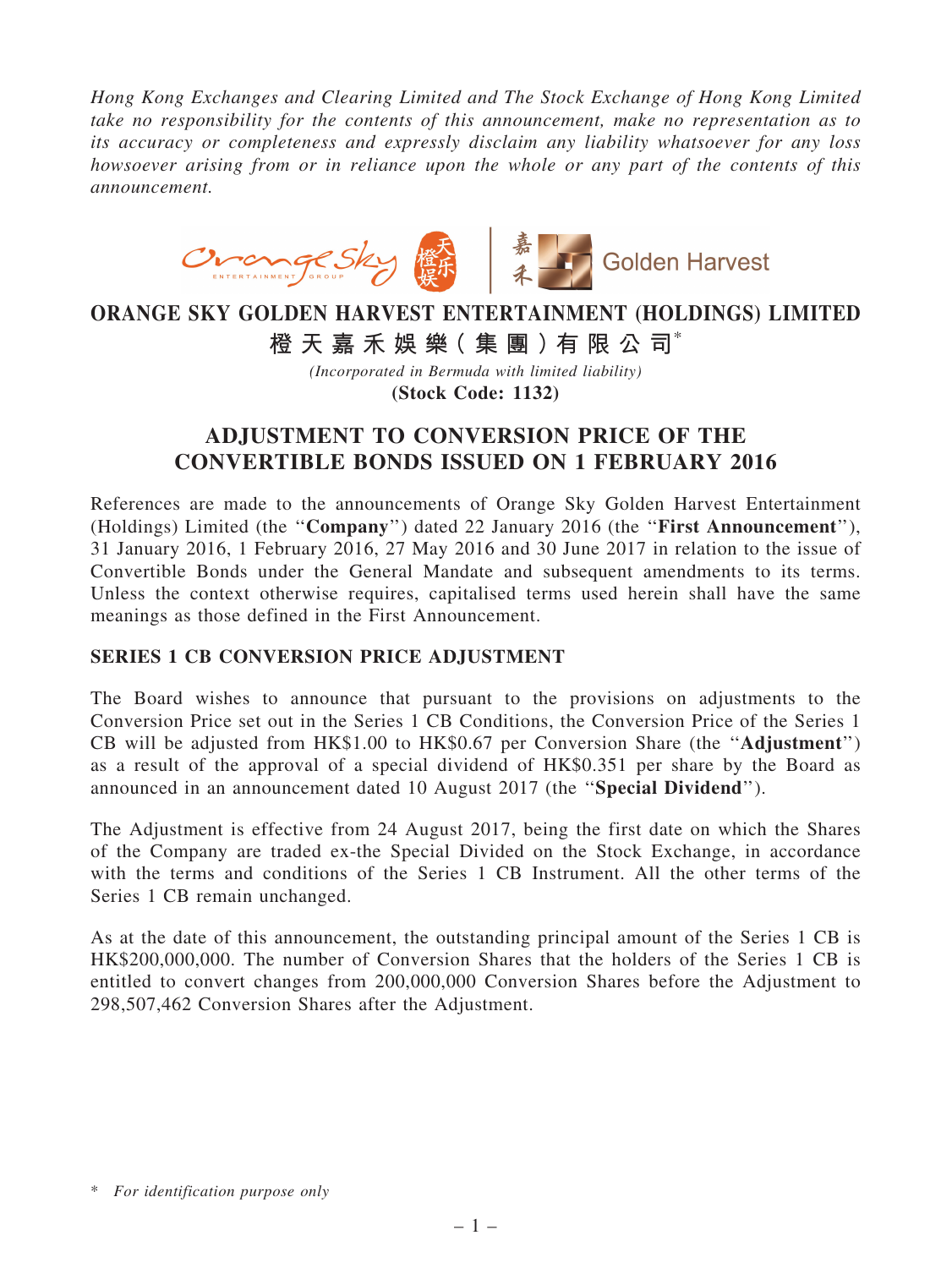*Hong Kong Exchanges and Clearing Limited and The Stock Exchange of Hong Kong Limited take no responsibility for the contents of this announcement, make no representation as to its accuracy or completeness and expressly disclaim any liability whatsoever for any loss howsoever arising from or in reliance upon the whole or any part of the contents of this announcement.*



## ORANGE SKY GOLDEN HARVEST ENTERTAINMENT (HOLDINGS) LIMITED

橙 天 嘉 禾 娛 樂 (集 團 ) 有 限 公 司 $^*$ 

*(Incorporated in Bermuda with limited liability)* (Stock Code: 1132)

## ADJUSTMENT TO CONVERSION PRICE OF THE CONVERTIBLE BONDS ISSUED ON 1 FEBRUARY 2016

References are made to the announcements of Orange Sky Golden Harvest Entertainment (Holdings) Limited (the ''Company'') dated 22 January 2016 (the ''First Announcement''), 31 January 2016, 1 February 2016, 27 May 2016 and 30 June 2017 in relation to the issue of Convertible Bonds under the General Mandate and subsequent amendments to its terms. Unless the context otherwise requires, capitalised terms used herein shall have the same meanings as those defined in the First Announcement.

## SERIES 1 CB CONVERSION PRICE ADJUSTMENT

The Board wishes to announce that pursuant to the provisions on adjustments to the Conversion Price set out in the Series 1 CB Conditions, the Conversion Price of the Series 1 CB will be adjusted from HK\$1.00 to HK\$0.67 per Conversion Share (the ''Adjustment'') as a result of the approval of a special dividend of HK\$0.351 per share by the Board as announced in an announcement dated 10 August 2017 (the ''Special Dividend'').

The Adjustment is effective from 24 August 2017, being the first date on which the Shares of the Company are traded ex-the Special Divided on the Stock Exchange, in accordance with the terms and conditions of the Series 1 CB Instrument. All the other terms of the Series 1 CB remain unchanged.

As at the date of this announcement, the outstanding principal amount of the Series 1 CB is HK\$200,000,000. The number of Conversion Shares that the holders of the Series 1 CB is entitled to convert changes from 200,000,000 Conversion Shares before the Adjustment to 298,507,462 Conversion Shares after the Adjustment.

<sup>\*</sup> *For identification purpose only*